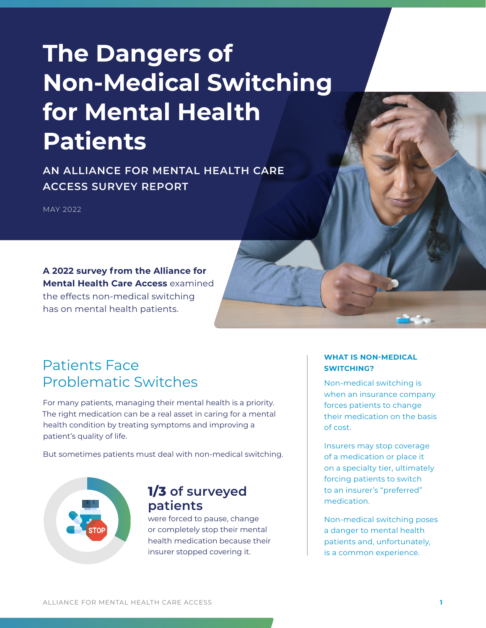# **The Dangers of Non-Medical Switching for Mental Health Patients**

**AN ALLIANCE FOR MENTAL HEALTH CARE ACCESS SURVEY REPORT**

MAY 2022

**A 2022 survey from the Alliance for Mental Health Care Access** examined

the effects non-medical switching has on mental health patients.

#### Patients Face Problematic Switches

For many patients, managing their mental health is a priority. The right medication can be a real asset in caring for a mental health condition by treating symptoms and improving a patient's quality of life.

But sometimes patients must deal with non-medical switching.



#### **1/3 of surveyed patients**

were forced to pause, change or completely stop their mental health medication because their insurer stopped covering it.

#### **WHAT IS NON-MEDICAL SWITCHING?**

Non-medical switching is when an insurance company forces patients to change their medication on the basis of cost.

Insurers may stop coverage of a medication or place it on a specialty tier, ultimately forcing patients to switch to an insurer's "preferred" medication.

Non-medical switching poses a danger to mental health patients and, unfortunately, is a common experience.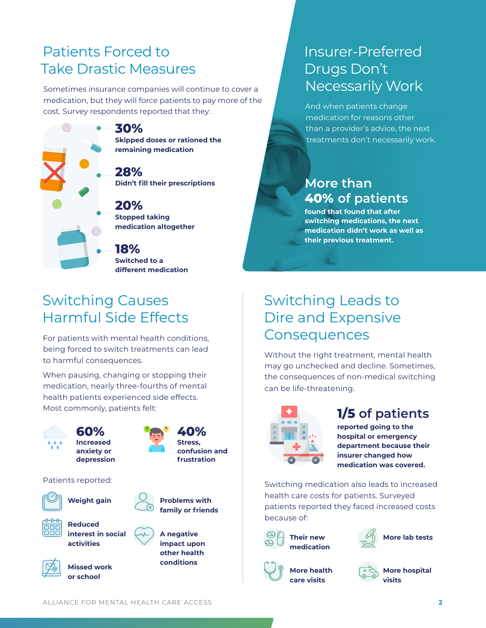## Patients Forced to Take Drastic Measures

Sometimes insurance companies will continue to cover a medication, but they will force patients to pay more of the cost. Survey respondents reported that they:



**Switched to a different medication**

## Insurer-Preferred Drugs Don't Necessarily Work

And when patients change medication for reasons other than a provider's advice, the next treatments don't necessarily work.

#### **More than 40% of patients**

**found that found that after switching medications, the next medication didn't work as well as their previous treatment.**

## Switching Causes Harmful Side Effects

For patients with mental health conditions, being forced to switch treatments can lead to harmful consequences.

When pausing, changing or stopping their medication, nearly three-fourths of mental health patients experienced side effects. Most commonly, patients felt:



## Switching Leads to Dire and Expensive **Consequences**

Without the right treatment, mental health may go unchecked and decline. Sometimes, the consequences of non-medical switching can be life-threatening.



#### **1/5 of patients**

**reported going to the hospital or emergency department because their insurer changed how medication was covered.**

Switching medication also leads to increased health care costs for patients. Surveyed patients reported they faced increased costs because of:







• **More health care visits**

• **More hospital visits**

**or school**